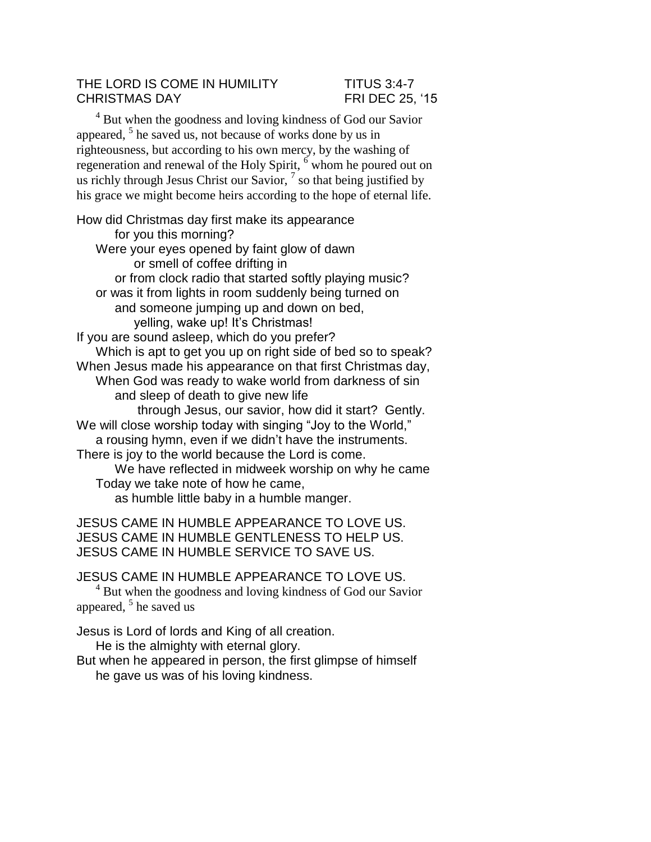## THE LORD IS COME IN HUMILITY TITUS 3:4-7 CHRISTMAS DAY FRI DEC 25, '15

 $4$  But when the goodness and loving kindness of God our Savior appeared, <sup>5</sup> he saved us, not because of works done by us in righteousness, but according to his own mercy, by the washing of regeneration and renewal of the Holy Spirit, <sup>6</sup> whom he poured out on us richly through Jesus Christ our Savior,  $^7$  so that being justified by his grace we might become heirs according to the hope of eternal life.

How did Christmas day first make its appearance for you this morning? Were your eyes opened by faint glow of dawn or smell of coffee drifting in or from clock radio that started softly playing music? or was it from lights in room suddenly being turned on and someone jumping up and down on bed, yelling, wake up! It's Christmas! If you are sound asleep, which do you prefer? Which is apt to get you up on right side of bed so to speak? When Jesus made his appearance on that first Christmas day, When God was ready to wake world from darkness of sin and sleep of death to give new life through Jesus, our savior, how did it start? Gently. We will close worship today with singing "Joy to the World," a rousing hymn, even if we didn't have the instruments. There is joy to the world because the Lord is come. We have reflected in midweek worship on why he came Today we take note of how he came, as humble little baby in a humble manger.

JESUS CAME IN HUMBLE APPEARANCE TO LOVE US. JESUS CAME IN HUMBLE GENTLENESS TO HELP US. JESUS CAME IN HUMBLE SERVICE TO SAVE US.

JESUS CAME IN HUMBLE APPEARANCE TO LOVE US.  $4$  But when the goodness and loving kindness of God our Savior appeared,  $5$  he saved us

Jesus is Lord of lords and King of all creation. He is the almighty with eternal glory.

But when he appeared in person, the first glimpse of himself he gave us was of his loving kindness.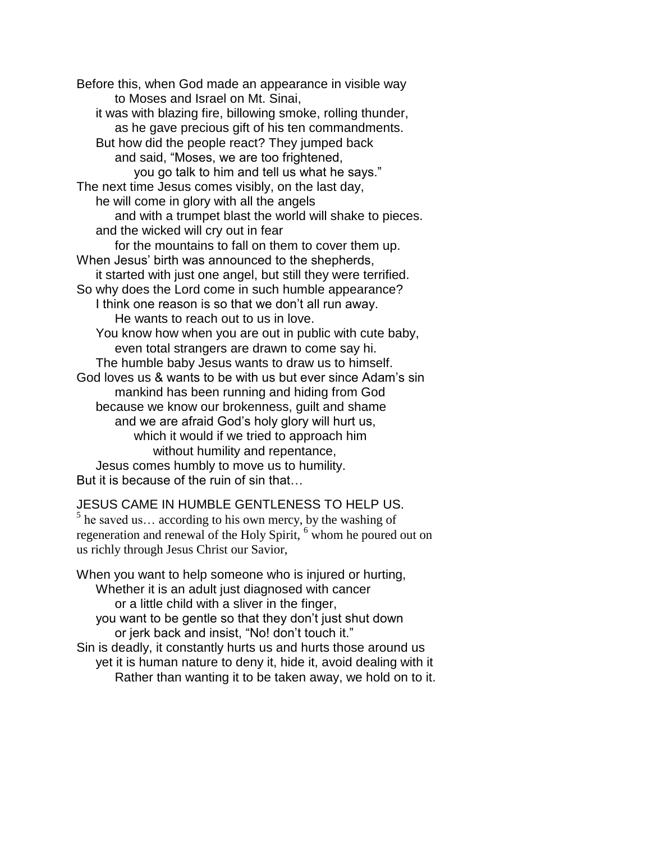Before this, when God made an appearance in visible way to Moses and Israel on Mt. Sinai, it was with blazing fire, billowing smoke, rolling thunder, as he gave precious gift of his ten commandments. But how did the people react? They jumped back and said, "Moses, we are too frightened, you go talk to him and tell us what he says." The next time Jesus comes visibly, on the last day, he will come in glory with all the angels and with a trumpet blast the world will shake to pieces. and the wicked will cry out in fear for the mountains to fall on them to cover them up. When Jesus' birth was announced to the shepherds, it started with just one angel, but still they were terrified. So why does the Lord come in such humble appearance? I think one reason is so that we don't all run away. He wants to reach out to us in love. You know how when you are out in public with cute baby, even total strangers are drawn to come say hi. The humble baby Jesus wants to draw us to himself. God loves us & wants to be with us but ever since Adam's sin mankind has been running and hiding from God because we know our brokenness, guilt and shame and we are afraid God's holy glory will hurt us, which it would if we tried to approach him without humility and repentance, Jesus comes humbly to move us to humility. But it is because of the ruin of sin that…

JESUS CAME IN HUMBLE GENTLENESS TO HELP US.  $5$  he saved us... according to his own mercy, by the washing of regeneration and renewal of the Holy Spirit, <sup>6</sup> whom he poured out on us richly through Jesus Christ our Savior,

When you want to help someone who is injured or hurting, Whether it is an adult just diagnosed with cancer or a little child with a sliver in the finger, you want to be gentle so that they don't just shut down or jerk back and insist, "No! don't touch it." Sin is deadly, it constantly hurts us and hurts those around us yet it is human nature to deny it, hide it, avoid dealing with it

Rather than wanting it to be taken away, we hold on to it.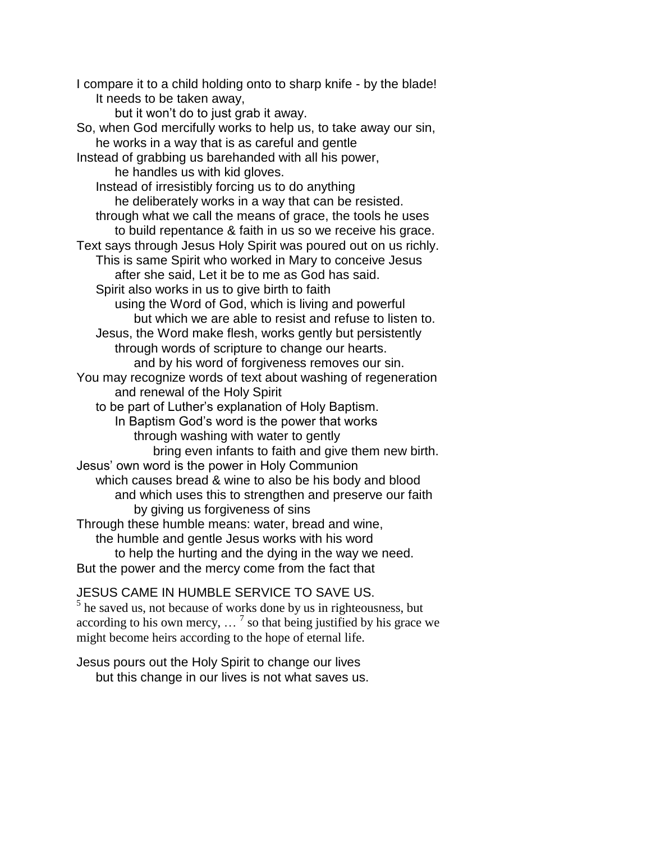I compare it to a child holding onto to sharp knife - by the blade! It needs to be taken away, but it won't do to just grab it away. So, when God mercifully works to help us, to take away our sin, he works in a way that is as careful and gentle Instead of grabbing us barehanded with all his power, he handles us with kid gloves. Instead of irresistibly forcing us to do anything he deliberately works in a way that can be resisted. through what we call the means of grace, the tools he uses to build repentance & faith in us so we receive his grace. Text says through Jesus Holy Spirit was poured out on us richly. This is same Spirit who worked in Mary to conceive Jesus after she said, Let it be to me as God has said. Spirit also works in us to give birth to faith using the Word of God, which is living and powerful but which we are able to resist and refuse to listen to. Jesus, the Word make flesh, works gently but persistently through words of scripture to change our hearts. and by his word of forgiveness removes our sin. You may recognize words of text about washing of regeneration and renewal of the Holy Spirit to be part of Luther's explanation of Holy Baptism. In Baptism God's word is the power that works through washing with water to gently bring even infants to faith and give them new birth. Jesus' own word is the power in Holy Communion which causes bread & wine to also be his body and blood and which uses this to strengthen and preserve our faith by giving us forgiveness of sins Through these humble means: water, bread and wine, the humble and gentle Jesus works with his word to help the hurting and the dying in the way we need. But the power and the mercy come from the fact that

JESUS CAME IN HUMBLE SERVICE TO SAVE US. <sup>5</sup> he saved us, not because of works done by us in righteousness, but according to his own mercy,  $\ldots$ <sup>7</sup> so that being justified by his grace we might become heirs according to the hope of eternal life.

Jesus pours out the Holy Spirit to change our lives but this change in our lives is not what saves us.